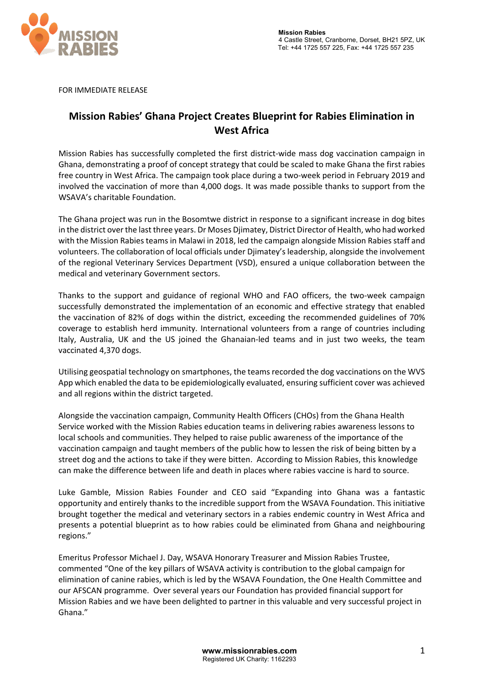

FOR IMMEDIATE RELEASE

## **Mission Rabies' Ghana Project Creates Blueprint for Rabies Elimination in West Africa**

Mission Rabies has successfully completed the first district-wide mass dog vaccination campaign in Ghana, demonstrating a proof of concept strategy that could be scaled to make Ghana the first rabies free country in West Africa. The campaign took place during a two-week period in February 2019 and involved the vaccination of more than 4,000 dogs. It was made possible thanks to support from the WSAVA's charitable Foundation.

The Ghana project was run in the Bosomtwe district in response to a significant increase in dog bites in the district over the last three years. Dr Moses Djimatey, District Director of Health, who had worked with the Mission Rabies teams in Malawi in 2018, led the campaign alongside Mission Rabies staff and volunteers. The collaboration of local officials under Djimatey's leadership, alongside the involvement of the regional Veterinary Services Department (VSD), ensured a unique collaboration between the medical and veterinary Government sectors.

Thanks to the support and guidance of regional WHO and FAO officers, the two-week campaign successfully demonstrated the implementation of an economic and effective strategy that enabled the vaccination of 82% of dogs within the district, exceeding the recommended guidelines of 70% coverage to establish herd immunity. International volunteers from a range of countries including Italy, Australia, UK and the US joined the Ghanaian-led teams and in just two weeks, the team vaccinated 4,370 dogs.

Utilising geospatial technology on smartphones, the teams recorded the dog vaccinations on the WVS App which enabled the data to be epidemiologically evaluated, ensuring sufficient cover was achieved and all regions within the district targeted.

Alongside the vaccination campaign, Community Health Officers (CHOs) from the Ghana Health Service worked with the Mission Rabies education teams in delivering rabies awareness lessons to local schools and communities. They helped to raise public awareness of the importance of the vaccination campaign and taught members of the public how to lessen the risk of being bitten by a street dog and the actions to take if they were bitten. According to Mission Rabies, this knowledge can make the difference between life and death in places where rabies vaccine is hard to source.

Luke Gamble, Mission Rabies Founder and CEO said "Expanding into Ghana was a fantastic opportunity and entirely thanks to the incredible support from the WSAVA Foundation. This initiative brought together the medical and veterinary sectors in a rabies endemic country in West Africa and presents a potential blueprint as to how rabies could be eliminated from Ghana and neighbouring regions."

Emeritus Professor Michael J. Day, WSAVA Honorary Treasurer and Mission Rabies Trustee, commented "One of the key pillars of WSAVA activity is contribution to the global campaign for elimination of canine rabies, which is led by the WSAVA Foundation, the One Health Committee and our AFSCAN programme. Over several years our Foundation has provided financial support for Mission Rabies and we have been delighted to partner in this valuable and very successful project in Ghana."